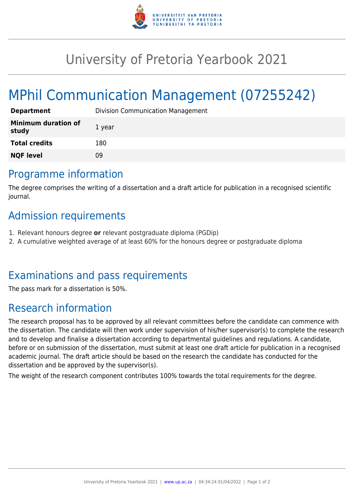

## University of Pretoria Yearbook 2021

# MPhil Communication Management (07255242)

| <b>Department</b>                   | <b>Division Communication Management</b> |
|-------------------------------------|------------------------------------------|
| <b>Minimum duration of</b><br>study | 1 year                                   |
| <b>Total credits</b>                | 180                                      |
| <b>NQF level</b>                    | 09                                       |

#### Programme information

The degree comprises the writing of a dissertation and a draft article for publication in a recognised scientific journal.

### Admission requirements

- 1. Relevant honours degree **or** relevant postgraduate diploma (PGDip)
- 2. A cumulative weighted average of at least 60% for the honours degree or postgraduate diploma

### Examinations and pass requirements

The pass mark for a dissertation is 50%.

### Research information

The research proposal has to be approved by all relevant committees before the candidate can commence with the dissertation. The candidate will then work under supervision of his/her supervisor(s) to complete the research and to develop and finalise a dissertation according to departmental guidelines and regulations. A candidate, before or on submission of the dissertation, must submit at least one draft article for publication in a recognised academic journal. The draft article should be based on the research the candidate has conducted for the dissertation and be approved by the supervisor(s).

The weight of the research component contributes 100% towards the total requirements for the degree.